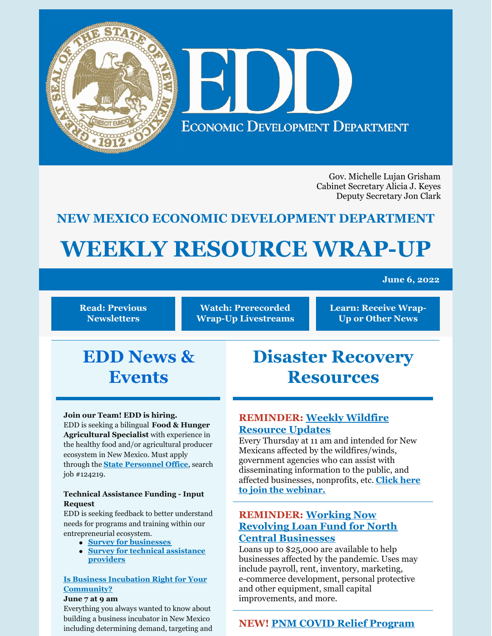

Gov. Michelle Lujan Grisham Cabinet Secretary Alicia J. Keyes Deputy Secretary Jon Clark

# **NEW MEXICO ECONOMIC DEVELOPMENT DEPARTMENT**

# **WEEKLY RESOURCE WRAP-UP**

#### **June 6, 2022**

**Read: Previous [Newsletters](https://edd.newmexico.gov/business-development/stay-informed-newsletters-and-webinars/)**

**Watch: [Prerecorded](https://youtube.com/playlist?list=PLGKR-UpukkDLaIt7LYfG78X31Y3qDftkz) Wrap-Up Livestreams** **Learn: [Receive](https://edd.newmexico.gov/newsletter/) Wrap-Up or Other News**

# **EDD News & Events**

#### **Join our Team! EDD is hiring.**

EDD is seeking a bilingual **Food & Hunger Agricultural Specialist** with experience in the healthy food and/or agricultural producer ecosystem in New Mexico. Must apply through the **State [Personnel](https://careers.share.state.nm.us/) Office**, search job #124219.

#### **Technical Assistance Funding - Input Request**

EDD is seeking feedback to better understand needs for programs and training within our entrepreneurial ecosystem.

- **Survey for [businesses](https://www.tfaforms.com/4978601)**
- **Survey for technical [assistance](https://www.tfaforms.com/4982960) [providers](https://www.tfaforms.com/4982960)**

#### **Is Business Incubation Right for Your [Community?](https://register.gotowebinar.com/register/2425585746158013965)**

#### **June 7 at 9 am**

Everything you always wanted to know about building a business incubator in New Mexico including determining demand, targeting and

# **Disaster Recovery Resources**

# **[REMINDER:](https://www.sba.gov/offices/district/nm/albuquerque?utm_medium=email&utm_source=govdelivery) Weekly Wildfire Resource Updates**

Every Thursday at 11 am and intended for New Mexicans affected by the wildfires/winds, government agencies who can assist with disseminating information to the public, and affected [businesses,](https://teams.microsoft.com/dl/launcher/launcher.html?url=%2F_%23%2Fl%2Fmeetup-join%2F19%3Ameeting_MTFkM2IyZDUtY2U0NC00ODdlLWE1ZjMtODdhNjVhYzVlNjZh%40thread.v2%2F0%3Fcontext%3D%257B%2522Tid%2522%253A%25223c89fd8a-7f68-4667-aa15-41ebf2208961%2522%252C%2522Oid%2522%253A%252203294e47-5844-411f-b8d1-822d7fb3f79d%2522%257D%26utm_medium%3Demail%26utm_source%3Dgovdelivery%26anon%3Dtrue&type=meetup-join&deeplinkId=8b5a8290-313b-4d3d-8084-79baa4010d9e&directDl=true&msLaunch=true&enableMobilePage=false&suppressPrompt=true) nonprofits, etc. **Click here to join the webinar.**

# **[REMINDER:](https://www.ncnmedd.com/rlf) Working Now Revolving Loan Fund for North Central Businesses**

Loans up to \$25,000 are available to help businesses affected by the pandemic. Uses may include payroll, rent, inventory, marketing, e-commerce development, personal protective and other equipment, small capital improvements, and more.

## **NEW! PNM COVID Relief [Program](https://pnmcovd.powerclerk.com/Embed/Link?ProgramId=K7GCRH8D9NY3&ResourceType=form&ResourceId=QS76BRGNW56A)**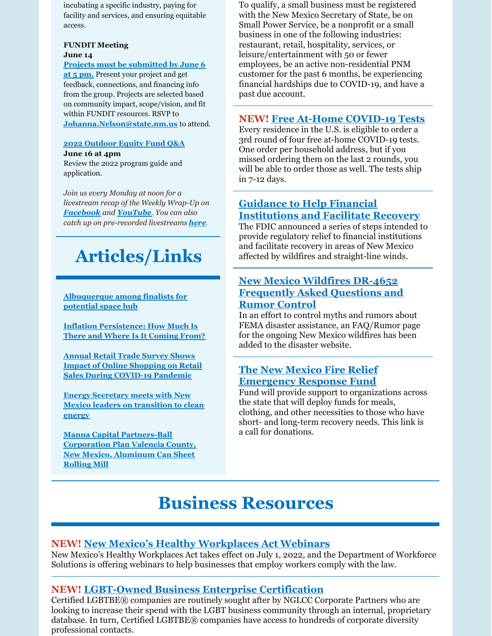incubating a specific industry, paying for facility and services, and ensuring equitable access.

#### **FUNDIT Meeting June 14**

**Projects must be [submitted](https://nmfundit.org/application-steps/) by June 6 at 5 pm.** Present your project and get feedback, connections, and financing info from the group. Projects are selected based on community impact, scope/vision, and fit within FUNDIT resources. RSVP to **[Johanna.Nelson@state.nm.us](mailto:Johanna.Nelson@state.nm.us)** to attend.

#### **2022 [Outdoor](https://www.nmoutside.com/outdoor-recreation-events) Equity Fund Q&A June 16 at 4pm**

Review the 2022 program guide and application.

*Join us every Monday at noon for a livestream recap of the Weekly Wrap-Up on [Facebook](https://www.facebook.com/NewMexicoEconomicDevelopment/) and [YouTube](https://www.youtube.com/channel/UCEVKlfuuLNl4R0VH6GsxZRQ). You can also catch up on pre-recorded livestreams [here](https://youtube.com/playlist?list=PLGKR-UpukkDLaIt7LYfG78X31Y3qDftkz).*

# **Articles/Links**

**[Albuquerque](https://www.krqe.com/news/albuquerque-metro/albuquerque-among-finalists-for-potential-space-hub/) among finalists for potential space hub**

**Inflation [Persistence:](https://libertystreeteconomics.newyorkfed.org/2022/04/inflation-persistence-how-much-is-there-and-where-is-it-coming-from/) How Much Is There and Where Is It Coming From?**

**Annual Retail Trade Survey Shows Impact of Online [Shopping](https://www.census.gov/library/stories/2022/04/ecommerce-sales-surged-during-pandemic.html?utm_campaign=20220427msacos1ccstors&utm_medium=email&utm_source=govdelivery) on Retail Sales During COVID-19 Pandemic**

**Energy Secretary meets with New Mexico leaders on [transition](https://www.kob.com/new-mexico/energy-secretary-meets-with-new-mexico-leaders-on-transition-to-clean-energy/) to clean energy**

**Manna Capital [Partners-Ball](https://www.areadevelopment.com/newsItems/5-27-2022/manna-capital-partners-valencia-county-new-mexico.shtml) Corporation Plan Valencia County, New Mexico, Aluminum Can Sheet Rolling Mill**

To qualify, a small business must be registered with the New Mexico Secretary of State, be on Small Power Service, be a nonprofit or a small business in one of the following industries: restaurant, retail, hospitality, services, or leisure/entertainment with 50 or fewer employees, be an active non-residential PNM customer for the past 6 months, be experiencing financial hardships due to COVID-19, and have a past due account.

# **NEW! Free At-Home [COVID-19](https://special.usps.com/testkits) Tests**

Every residence in the U.S. is eligible to order a 3rd round of four free at-home COVID-19 tests. One order per household address, but if you missed ordering them on the last 2 rounds, you will be able to order those as well. The tests ship in 7-12 days.

# **Guidance to Help Financial [Institutions](https://www.fdic.gov/news/financial-institution-letters/2022/fil22019.html#guidance) and Facilitate Recovery**

The FDIC announced a series of steps intended to provide regulatory relief to financial institutions and facilitate recovery in areas of New Mexico affected by wildfires and straight-line winds.

### **New Mexico Wildfires DR-4652 [Frequently](https://www.fema.gov/disaster/4652/faq-rumor) Asked Questions and Rumor Control**

In an effort to control myths and rumors about FEMA disaster assistance, an FAQ/Rumor page for the ongoing New Mexico wildfires has been added to the disaster website.

### **The New Mexico Fire Relief [Emergency](https://albuquerquecf.fcsuite.com/erp/donate/create?funit_id=4333) Response Fund**

Fund will provide support to organizations across the state that will deploy funds for meals, clothing, and other necessities to those who have short- and long-term recovery needs. This link is a call for donations.

# **Business Resources**

#### **NEW! New Mexico's Healthy [Workplaces](https://financenewmexico.org/new-programs-open-opportunities-and-announcements/paid-sick-leave-law-starts-july-1/?mc_cid=b371d98802&mc_eid=a292c21a12) Act Webinars**

New Mexico's Healthy Workplaces Act takes effect on July 1, 2022, and the Department of Workforce Solutions is offering webinars to help businesses that employ workers comply with the law.

## **NEW! [LGBT-Owned](https://www.nglcc.org/get-certified?utm_medium=email&utm_source=govdelivery) Business Enterprise Certification**

Certified LGBTBE® companies are routinely sought after by NGLCC Corporate Partners who are looking to increase their spend with the LGBT business community through an internal, proprietary database. In turn, Certified LGBTBE® companies have access to hundreds of corporate diversity professional contacts.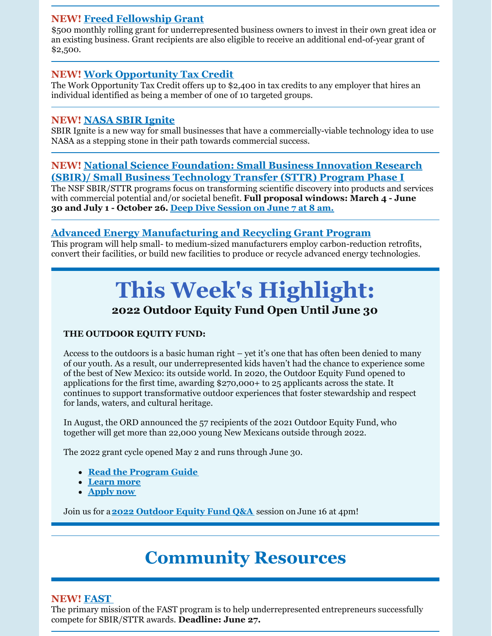### **NEW! Freed [Fellowship](https://www.freedfellowship.com/grant1) Grant**

\$500 monthly rolling grant for underrepresented business owners to invest in their own great idea or an existing business. Grant recipients are also eligible to receive an additional end-of-year grant of \$2,500.

### **NEW! Work [Opportunity](https://financenewmexico.org/new-programs-open-opportunities-and-announcements/tax-credit-helps-businesses-diversify/?mc_cid=b371d98802&mc_eid=a292c21a12) Tax Credit**

The Work Opportunity Tax Credit offers up to \$2,400 in tax credits to any employer that hires an individual identified as being a member of one of 10 targeted groups.

#### **NEW! [NASA](https://sbir.nasa.gov/ignite?utm_medium=email&utm_source=govdelivery&mc_cid=b371d98802&mc_eid=a292c21a12) SBIR Ignite**

SBIR Ignite is a new way for small businesses that have a commercially-viable technology idea to use NASA as a stepping stone in their path towards commercial success.

#### **NEW! National Science [Foundation:](https://beta.nsf.gov/funding/opportunities/small-business-innovation-research-sbir-small-business-technology-transfer?utm_medium=email&utm_source=govdelivery&mc_cid=b371d98802&mc_eid=a292c21a12) Small Business Innovation Research (SBIR)/ Small Business Technology Transfer (STTR) Program Phase I**

The NSF SBIR/STTR programs focus on transforming scientific discovery into products and services with commercial potential and/or societal benefit. **Full proposal windows: March 4 - June 30 and July 1 - October 26. Deep Dive [Session](https://www.sbir.gov/node/2182611?utm_medium=email&utm_source=govdelivery) on June 7 at 8 am.**

# **Advanced Energy [Manufacturing](https://www.energy.gov/eere/articles/us-department-energy-offers-targeted-technical-assistance-manufacturers-former-coal) and Recycling Grant Program**

This program will help small- to medium-sized manufacturers employ carbon-reduction retrofits, convert their facilities, or build new facilities to produce or recycle advanced energy technologies.

# **This Week's Highlight: 2022 Outdoor Equity Fund Open Until June 30**

#### **THE OUTDOOR EQUITY FUND:**

Access to the outdoors is a basic human right – yet it's one that has often been denied to many of our youth. As a result, our underrepresented kids haven't had the chance to experience some of the best of New Mexico: its outside world. In 2020, the Outdoor Equity Fund opened to applications for the first time, awarding \$270,000+ to 25 applicants across the state. It continues to support transformative outdoor experiences that foster stewardship and respect for lands, waters, and cultural heritage.

In August, the ORD announced the 57 recipients of the 2021 Outdoor Equity Fund, who together will get more than 22,000 young New Mexicans outside through 2022.

The 2022 grant cycle opened May 2 and runs through June 30.

- **Read the [Program](https://edd.newmexico.gov/wp-content/uploads/2022/04/2022-Outdoor-Equity-Fund-Program-Guide-ENGLISH.pdf) Guide**
- **[Learn](https://www.nmoutside.com/outdoor-grants-equity-fund) more**
- **[Apply](https://nmoutside.submittable.com/submit) now**

Join us for a**2022 [Outdoor](https://www.nmoutside.com/outdoor-recreation-events) Equity Fund Q&A** session on June 16 at 4pm!

# **Community Resources**

#### **NEW! [FAST](https://www.grants.gov/web/grants/view-opportunity.html?oppId=340761)**

The primary mission of the FAST program is to help underrepresented entrepreneurs successfully compete for SBIR/STTR awards. **Deadline: June 27.**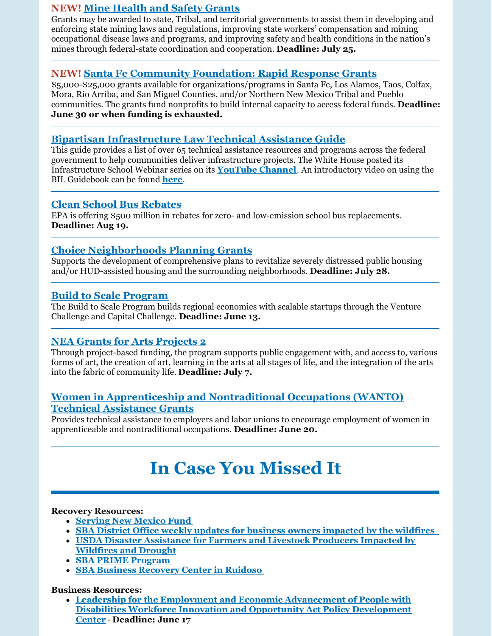### **NEW! Mine [Health](https://www.grants.gov/web/grants/view-opportunity.html?oppId=340628) and Safety Grants**

Grants may be awarded to state, Tribal, and territorial governments to assist them in developing and enforcing state mining laws and regulations, improving state workers' compensation and mining occupational disease laws and programs, and improving safety and health conditions in the nation's mines through federal-state coordination and cooperation. **Deadline: July 25.**

### **NEW! Santa Fe Community [Foundation:](https://www.thegrantplantnm.com/grant-detail/santa-fe-community-foundation-rapid-response-grants/) Rapid Response Grants**

\$5,000-\$25,000 grants available for organizations/programs in Santa Fe, Los Alamos, Taos, Colfax, Mora, Rio Arriba, and San Miguel Counties, and/or Northern New Mexico Tribal and Pueblo communities. The grants fund nonprofits to build internal capacity to access federal funds. **Deadline: June 30 or when funding is exhausted.**

## **Bipartisan [Infrastructure](https://www.whitehouse.gov/wp-content/uploads/2022/05/Infrastructure-Technical-Assistance-Guide_FINAL2.pdf) Law Technical Assistance Guide**

This guide provides a list of over 65 technical assistance resources and programs across the federal government to help communities deliver infrastructure projects. The White House posted its Infrastructure School Webinar series on its **[YouTube](https://www.youtube.com/c/WhiteHouse) Channel**. An introductory video on using the BIL Guidebook can be found **[here](https://youtu.be/b8qdnj1O94A)**.

### **Clean School Bus [Rebates](https://www.epa.gov/cleanschoolbus/school-bus-rebates-clean-school-bus-program)**

EPA is offering \$500 million in rebates for zero- and low-emission school bus replacements. **Deadline: Aug 19.**

### **Choice [Neighborhoods](https://www.grants.gov/web/grants/view-opportunity.html?oppId=340208) Planning Grants**

Supports the development of comprehensive plans to revitalize severely distressed public housing and/or HUD-assisted housing and the surrounding neighborhoods. **Deadline: July 28.**

#### **Build to Scale [Program](https://eda.gov/files/oie/b2s/fy22/FY22-Build-to-Scale-NOFO.pdf)**

The Build to Scale Program builds regional economies with scalable startups through the Venture Challenge and Capital Challenge. **Deadline: June 13.**

## **NEA Grants for Arts [Projects](https://www.grants.gov/web/grants/view-opportunity.html?oppId=340235) 2**

Through project-based funding, the program supports public engagement with, and access to, various forms of art, the creation of art, learning in the arts at all stages of life, and the integration of the arts into the fabric of community life. **Deadline: July 7.**

#### **Women in [Apprenticeship](https://www.grants.gov/web/grants/view-opportunity.html?oppId=340246) and Nontraditional Occupations (WANTO) Technical Assistance Grants**

Provides technical assistance to employers and labor unions to encourage employment of women in apprenticeable and nontraditional occupations. **Deadline: June 20.**

# **In Case You Missed It**

#### **Recovery Resources:**

- **[Serving](https://www.surveymonkey.com/r/servNMApp) New Mexico Fund**
- **SBA District Office weekly updates for business owners [impacted](https://www.sba.gov/offices/district/nm/albuquerque?utm_medium=email&utm_source=govdelivery) by the wildfires**
- **USDA Disaster [Assistance](https://www.fsa.usda.gov/state-offices/New-Mexico/news-releases/2022/usda-offers-disaster-assistance-to-new-mexico-farmers-and-livestock-producers-impacted-by-wildfires-and-drought-?utm_medium=email&utm_source=govdelivery) for Farmers and Livestock Producers Impacted by Wildfires and Drought**
- **SBA PRIME [Program](https://www.prestamosloans.org/sba-prime-program/?msclkid=969f670ad12911ecb68b0ed815ed99d0)**
- **SBA Business [Recovery](https://www.sba.gov/article/2022/may/10/sba-open-business-recovery-center-ruidoso-help-businesses-impacted-wildfires-straight-line-winds) Center in Ruidoso**

#### **Business Resources:**

**Leadership for the Employment and Economic [Advancement](https://www.grants.gov/web/grants/view-opportunity.html?oppId=337722) of People with Disabilities Workforce Innovation and Opportunity Act Policy Development Center** - **Deadline: June 17**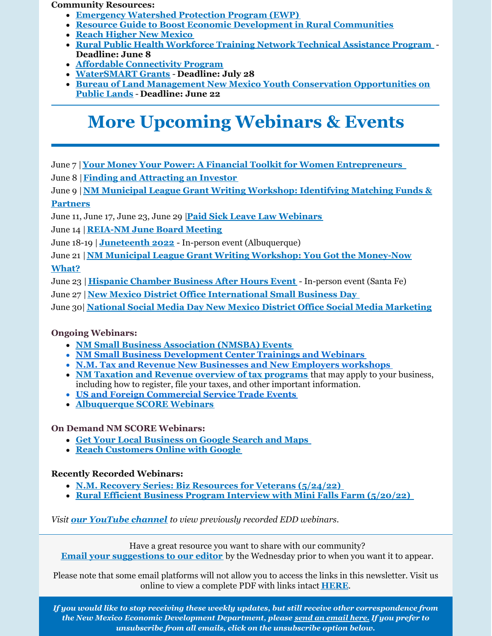**Community Resources:**

- **[Emergency](https://www.nrcs.usda.gov/wps/portal/nrcs/main/national/programs/landscape/ewpp/) Watershed Protection Program (EWP)**
- **Resource Guide to Boost Economic Development in Rural [Communities](https://www.rd.usda.gov/sites/default/files/508F_RD_EDA_JointPlanningResourceGuide.pdf)**
- **Reach Higher New [Mexico](https://www.reachhighernm.com/)**
- **Rural Public Health [Workforce](https://www.grants.gov/web/grants/view-opportunity.html?oppId=339531) Training Network Technical Assistance Program Deadline: June 8**
- **Affordable [Connectivity](https://www.whitehouse.gov/getinternet/?utm_source=www.getinternet.gov) Program**
- **[WaterSMART](https://www.grants.gov/web/grants/view-opportunity.html?oppId=339953) Grants Deadline: July 28**
- **Bureau of Land Management New Mexico Youth Conservation [Opportunities](https://www.grants.gov/web/grants/view-opportunity.html?oppId=339979) on Public Lands** - **Deadline: June 22**

# **More Upcoming Webinars & Events**

June 7 |**Your Money Your Power: A Financial Toolkit for Women [Entrepreneurs](https://clients.wesst.org/workshop.aspx?ekey=20420124&mc_cid=b371d98802&mc_eid=a292c21a12)**

June 8 |**Finding and [Attracting](https://clients.wesst.org/workshop.aspx?ekey=50420067&mc_cid=b371d98802&mc_eid=a292c21a12) an Investor**

June 9 |**NM Municipal League Grant Writing [Workshop:](https://gcc02.safelinks.protection.outlook.com/?url=https%3A%2F%2Fr20.rs6.net%2Ftn.jsp%3Ff%3D001rDZa5v6kIi8ZPXLfrwXqtEnPjxT0sH8Y4w_ITbcgX6TsLn2WeTmE_7a0qu73xd9FRb0ME0nNU7_bIC9IzjjcVS4ltSRnmTFfAOfNq9Bq1qO3mgH5N8HFDxTTaRFXYY8MGp35uoaAiNyLQAWPSes_UqToijkYxLvkKzvLvo6fo5ktXQ0wHX17ZV2A_yv_P1Td%26c%3DRneGoejP-gaPq7M77ZLvwZyZVQNLavCyzj3xywNvxWPBRBw4tgejZg%3D%3D%26ch%3DJB781o2OyGrvV9y5GzkHNyo6FYNOHWEFJgyb25IckXVw6dRRAL3hnw%3D%3D&data=04%7C01%7Cjennifer.myers%40state.nm.us%7Ce507173c32804900a0d708da1721a825%7C04aa6bf4d436426fbfa404b7a70e60ff%7C0%7C0%7C637847730574058851%7CUnknown%7CTWFpbGZsb3d8eyJWIjoiMC4wLjAwMDAiLCJQIjoiV2luMzIiLCJBTiI6Ik1haWwiLCJXVCI6Mn0%3D%7C3000&sdata=ldUHM4TWbk4fWIoaYOoBMl0R8Vnazc9daigVIO6wjnM%3D&reserved=0) Identifying Matching Funds & Partners**

June 11, June 17, June 23, June 29 |**Paid Sick Leave Law [Webinars](https://financenewmexico.org/new-programs-open-opportunities-and-announcements/paid-sick-leave-law-starts-july-1/?mc_cid=b371d98802&mc_eid=a292c21a12)**

June 14 |**[REIA-NM](https://reia-nm.org/events) June Board Meeting**

June 18-19 | **[Juneteenth](https://www.nmjuneteenth.com/registration?utm_medium=email&utm_source=govdelivery) 2022** - In-person event (Albuquerque)

June 21 |**NM Municipal League Grant Writing Workshop: You Got the [Money-Now](https://gcc02.safelinks.protection.outlook.com/?url=https%3A%2F%2Fr20.rs6.net%2Ftn.jsp%3Ff%3D001rDZa5v6kIi8ZPXLfrwXqtEnPjxT0sH8Y4w_ITbcgX6TsLn2WeTmE_7a0qu73xd9F4m8NWfBKj2C_7iVDTAAupQCrsvaxoGLLUzkeBaqRVvLTUe6SMVvVEdVrUAsjHs6uYI1vWLMTa8BY3TyIRKsG5pjyaDfLMcrkJ7QGE5Zy7twA3QhoSVNuNcLIFGNEVOHC%26c%3DRneGoejP-gaPq7M77ZLvwZyZVQNLavCyzj3xywNvxWPBRBw4tgejZg%3D%3D%26ch%3DJB781o2OyGrvV9y5GzkHNyo6FYNOHWEFJgyb25IckXVw6dRRAL3hnw%3D%3D&data=04%7C01%7Cjennifer.myers%40state.nm.us%7Ce507173c32804900a0d708da1721a825%7C04aa6bf4d436426fbfa404b7a70e60ff%7C0%7C0%7C637847730574058851%7CUnknown%7CTWFpbGZsb3d8eyJWIjoiMC4wLjAwMDAiLCJQIjoiV2luMzIiLCJBTiI6Ik1haWwiLCJXVCI6Mn0%3D%7C3000&sdata=3fqEcUOHtj5F%2FrfJQNiWrim1hGESWSGZ9z5yF3Akqio%3D&reserved=0) What?**

June 23 | **Hispanic [Chamber](https://www.eventbrite.com/e/santa-fe-hispanic-chamber-of-commerce-business-after-hours-event-tickets-352894134857) Business After Hours Event** - In-person event (Santa Fe)

June 27 |**New Mexico District Office [International](https://content.govdelivery.com/accounts/USSBA/bulletins/31a268c) Small Business Day**

June 30| **National Social Media Day New Mexico District Office Social Media [Marketing](https://content.govdelivery.com/accounts/USSBA/bulletins/31a268c?reqfrom=share)**

#### **Ongoing Webinars:**

- **NM Small Business [Association](https://www.sba.gov/offices/district/nm/albuquerque) (NMSBA) Events**
- **NM Small Business [Development](http://www.nmsbdc.org/workshop-and-events.aspx) Center Trainings and Webinars**
- **N.M. Tax and Revenue New [Businesses](http://www.tax.newmexico.gov/workshop-schedule.aspx) and New Employers workshops**
- **NM Taxation and Revenue overview of tax [programs](https://www.youtube.com/watch?v=eiGiS04Cwbk)** that may apply to your business, including how to register, file your taxes, and other important information.
- **US and Foreign [Commercial](https://www.trade.gov/trade-events-search#/search?event_types=Seminar-Webinar&offset=0&start_date_range%5Bfrom%5D=2019-12-01&start_date_range%5Bto%5D=2024-03-31) Service Trade Events**
- **[Albuquerque](https://albuquerque.score.org/our-workshops-0) SCORE Webinars**

#### **On Demand NM SCORE Webinars:**

- **Get Your Local [Business](https://albuquerque.score.org/event/get-your-business-google-search-maps) on Google Search and Maps**
- **Reach [Customers](https://albuquerque.score.org/event/reach-customers-online-with-google-w) Online with Google**

#### **Recently Recorded Webinars:**

- **N.M. Recovery Series: Biz [Resources](https://youtu.be/DP9rdot_bps) for Veterans (5/24/22)**
- **Rural Efficient Business Program Interview with Mini Falls Farm [\(5/20/22\)](https://youtu.be/REpic9UhTCA)**

#### *Visit our [YouTube](https://www.youtube.com/channel/UCEVKlfuuLNl4R0VH6GsxZRQ) channel to view previously recorded EDD webinars.*

Have a great resource you want to share with our community? **Email your [suggestions](mailto:lauren.longworth@state.nm.us) to our editor** by the Wednesday prior to when you want it to appear.

Please note that some email platforms will not allow you to access the links in this newsletter. Visit us online to view a complete PDF with links intact **[HERE](https://edd.newmexico.gov/business-development/stay-informed-newsletters-and-webinars/)**.

*If you would like to stop receiving these weekly updates, but still receive other correspondence from the New Mexico Economic Development Department, please send an [email](mailto:lauren.longworth@state.nm.us) here. If you prefer to unsubscribe from all emails, click on the unsubscribe option below.*